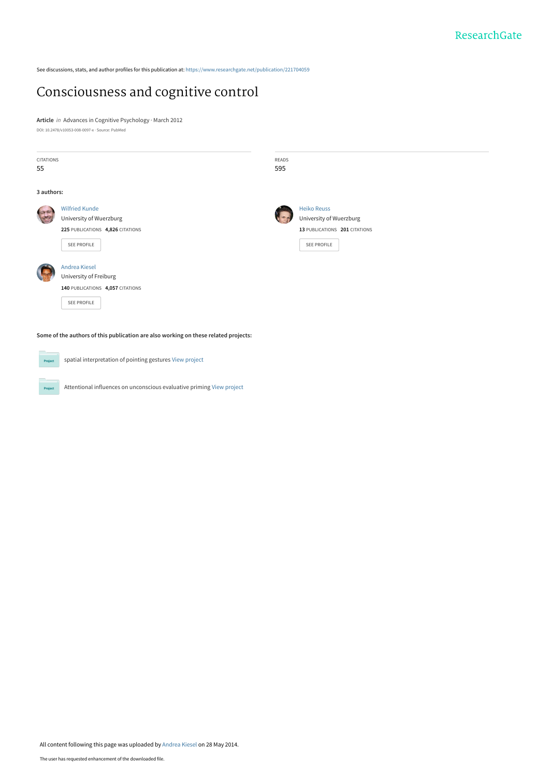See discussions, stats, and author profiles for this publication at: [https://www.researchgate.net/publication/221704059](https://www.researchgate.net/publication/221704059_Consciousness_and_cognitive_control?enrichId=rgreq-debb39ce54fcd3256d4f9a4030096f42-XXX&enrichSource=Y292ZXJQYWdlOzIyMTcwNDA1OTtBUzoxMDE4NzA3NjQ4MjI1MzhAMTQwMTI5OTI5MTkzNQ%3D%3D&el=1_x_2&_esc=publicationCoverPdf)

# [Consciousness and cognitive control](https://www.researchgate.net/publication/221704059_Consciousness_and_cognitive_control?enrichId=rgreq-debb39ce54fcd3256d4f9a4030096f42-XXX&enrichSource=Y292ZXJQYWdlOzIyMTcwNDA1OTtBUzoxMDE4NzA3NjQ4MjI1MzhAMTQwMTI5OTI5MTkzNQ%3D%3D&el=1_x_3&_esc=publicationCoverPdf)

**Article** in Advances in Cognitive Psychology · March 2012 DOI: 10.2478/v10053-008-0097-x · Source: PubMed

| <b>CITATIONS</b><br>55                                                              |                                                          | READS<br>595 |                                                     |
|-------------------------------------------------------------------------------------|----------------------------------------------------------|--------------|-----------------------------------------------------|
| 3 authors:                                                                          |                                                          |              |                                                     |
|                                                                                     | <b>Wilfried Kunde</b><br>University of Wuerzburg         |              | <b>Heiko Reuss</b><br>University of Wuerzburg       |
|                                                                                     | 225 PUBLICATIONS 4,826 CITATIONS<br>SEE PROFILE          |              | 13 PUBLICATIONS 201 CITATIONS<br><b>SEE PROFILE</b> |
|                                                                                     | <b>Andrea Kiesel</b><br>University of Freiburg           |              |                                                     |
|                                                                                     | 140 PUBLICATIONS 4,057 CITATIONS<br>SEE PROFILE          |              |                                                     |
| Some of the authors of this publication are also working on these related projects: |                                                          |              |                                                     |
| Project                                                                             | spatial interpretation of pointing gestures View project |              |                                                     |

Attentional influences on unconscious evaluative priming [View project](https://www.researchgate.net/project/Attentional-influences-on-unconscious-evaluative-priming?enrichId=rgreq-debb39ce54fcd3256d4f9a4030096f42-XXX&enrichSource=Y292ZXJQYWdlOzIyMTcwNDA1OTtBUzoxMDE4NzA3NjQ4MjI1MzhAMTQwMTI5OTI5MTkzNQ%3D%3D&el=1_x_9&_esc=publicationCoverPdf)

Project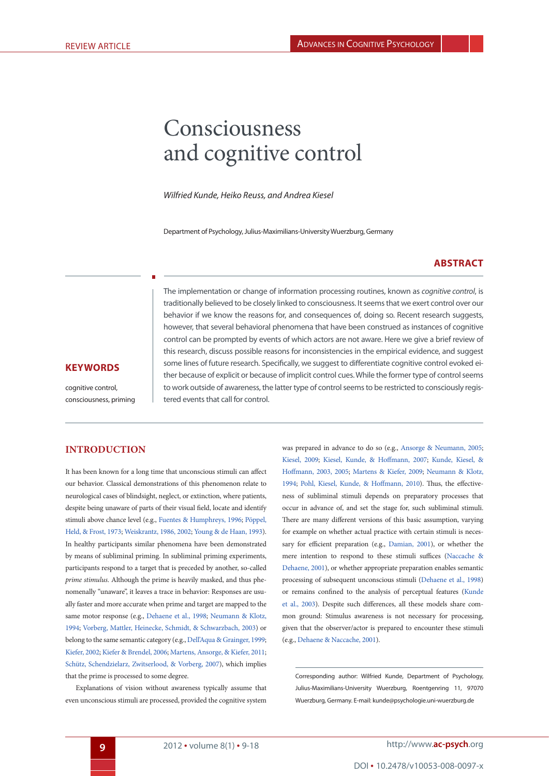# Consciousness and cognitive control

*Wilfried Kunde, Heiko Reuss, and Andrea Kiesel*

Department of Psychology, Julius-Maximilians-University Wuerzburg, Germany

#### <span id="page-1-10"></span><span id="page-1-0"></span>**Abstract**

The implementation or change of information processing routines, known as *cognitive control*, is traditionally believed to be closely linked to consciousness. It seems that we exert control over our behavior if we know the reasons for, and consequences of, doing so. Recent research suggests, however, that several behavioral phenomena that have been construed as instances of cognitive control can be prompted by events of which actors are not aware. Here we give a brief review of this research, discuss possible reasons for inconsistencies in the empirical evidence, and suggest some lines of future research. Specifically, we suggest to differentiate cognitive control evoked either because of explicit or because of implicit control cues. While the former type of control seems to work outside of awareness, the latter type of control seems to be restricted to consciously registered events that call for control.

#### **KeywordS**

cognitive control, consciousness, priming

#### **Introduction**

It has been known for a long time that unconscious stimuli can affect our behavior. Classical demonstrations of this phenomenon relate to neurological cases of blindsight, neglect, or extinction, where patients, despite being unaware of parts of their visual field, locate and identify stimuli above chance level (e.g., [Fuentes & Humphreys, 1996;](#page-8-0) [Pöppel,](#page-9-0) [Held, & Frost, 1973](#page-9-0); [Weiskrantz, 1986,](#page-10-0) [2002](#page-10-1); [Young & de Haan, 1993\)](#page-10-2). In healthy participants similar phenomena have been demonstrated by means of subliminal priming. In subliminal priming experiments, participants respond to a target that is preceded by another, so-called *prime stimulus*. Although the prime is heavily masked, and thus phenomenally "unaware", it leaves a trace in behavior: Responses are usually faster and more accurate when prime and target are mapped to the same motor response (e.g., [Dehaene et al., 1998;](#page-7-0) [Neumann & Klotz,](#page-9-1) [1994;](#page-9-1) [Vorberg, Mattler, Heinecke, Schmidt, & Schwarzbach, 2003](#page-10-3)) or belong to the same semantic category (e.g., [Dell'Aqua & Grainger, 1999](#page-7-1); [Kiefer, 2002;](#page-8-1) [Kiefer & Brendel, 2006](#page-8-2); [Martens, Ansorge, & Kiefer, 2011](#page-9-2); [Schütz, Schendzielarz, Zwitserlood, & Vorberg, 2007\)](#page-9-3), which implies that the prime is processed to some degree.

<span id="page-1-18"></span><span id="page-1-17"></span><span id="page-1-7"></span><span id="page-1-6"></span>Explanations of vision without awareness typically assume that even unconscious stimuli are processed, provided the cognitive system <span id="page-1-20"></span><span id="page-1-19"></span><span id="page-1-16"></span><span id="page-1-15"></span><span id="page-1-12"></span><span id="page-1-9"></span><span id="page-1-8"></span><span id="page-1-5"></span><span id="page-1-1"></span>was prepared in advance to do so (e.g., [Ansorge & Neumann, 2005;](#page-7-2) [Kiesel, 2009](#page-8-3); [Kiesel, Kunde, & Hoffmann, 2007](#page-8-4); [Kunde, Kiesel, &](#page-8-5) [Hoffmann, 2003](#page-8-5), [2005](#page-8-6); [Martens & Kiefer, 2009](#page-9-4); [Neumann & Klotz,](#page-9-1) [1994](#page-9-1); [Pohl, Kiesel, Kunde, & Hoffmann, 2010](#page-9-5)). Thus, the effectiveness of subliminal stimuli depends on preparatory processes that occur in advance of, and set the stage for, such subliminal stimuli. There are many different versions of this basic assumption, varying for example on whether actual practice with certain stimuli is necessary for efficient preparation (e.g., [Damian, 2001](#page-7-3)), or whether the mere intention to respond to these stimuli suffices ([Naccache &](#page-9-6) [Dehaene, 2001](#page-9-6)), or whether appropriate preparation enables semantic processing of subsequent unconscious stimuli ([Dehaene et al., 1998\)](#page-7-0) or remains confined to the analysis of perceptual features [\(Kunde](#page-8-5) [et al., 2003](#page-8-5)). Despite such differences, all these models share common ground: Stimulus awareness is not necessary for processing, given that the observer/actor is prepared to encounter these stimuli (e.g., [Dehaene & Naccache, 2001\)](#page-7-4).

<span id="page-1-14"></span><span id="page-1-13"></span><span id="page-1-11"></span><span id="page-1-4"></span><span id="page-1-3"></span><span id="page-1-2"></span>Corresponding author: Wilfried Kunde, Department of Psychology, Julius-Maximilians-University Wuerzburg, Roentgenring 11, 97070 Wuerzburg, Germany. E-mail: kunde@psychologie.uni-wuerzburg.de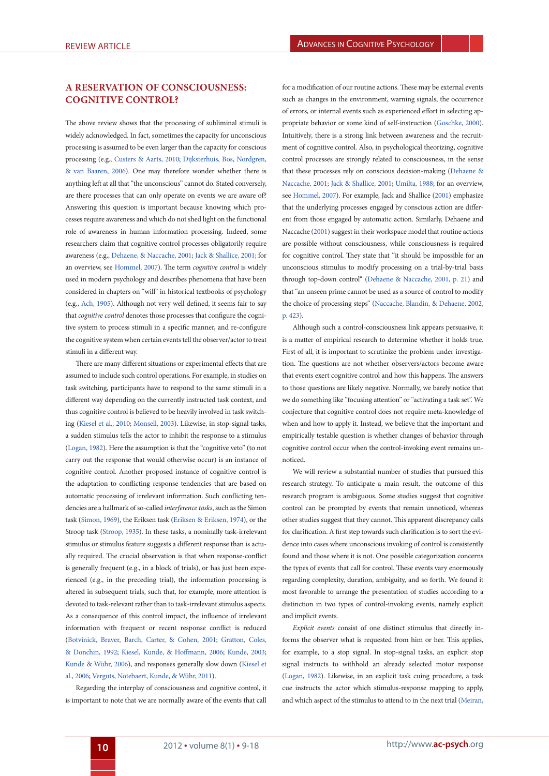#### **A reservation of consciousness: Cognitive Control?**

<span id="page-2-2"></span>The above review shows that the processing of subliminal stimuli is widely acknowledged. In fact, sometimes the capacity for unconscious processing is assumed to be even larger than the capacity for conscious processing (e.g., [Custers & Aarts, 2010](#page-7-5); [Dijksterhuis, Bos, Nordgren,](#page-8-7) [& van Baaren, 2006](#page-8-7)). One may therefore wonder whether there is anything left at all that "the unconscious" cannot do. Stated conversely, are there processes that can only operate on events we are aware of? Answering this question is important because knowing which processes require awareness and which do not shed light on the functional role of awareness in human information processing. Indeed, some researchers claim that cognitive control processes obligatorily require awareness (e.g., [Dehaene, & Naccache, 2001](#page-7-4); [Jack & Shallice, 2001](#page-8-8); for an overview, see [Hommel, 2007](#page-8-9)). The term *cognitive control* is widely used in modern psychology and describes phenomena that have been considered in chapters on "will" in historical textbooks of psychology (e.g., [Ach, 1905\)](#page-7-6). Although not very well defined, it seems fair to say that *cognitive control* denotes those processes that configure the cognitive system to process stimuli in a specific manner, and re-configure the cognitive system when certain events tell the observer/actor to treat stimuli in a different way.

<span id="page-2-17"></span><span id="page-2-13"></span><span id="page-2-10"></span><span id="page-2-0"></span>There are many different situations or experimental effects that are assumed to include such control operations. For example, in studies on task switching, participants have to respond to the same stimuli in a different way depending on the currently instructed task context, and thus cognitive control is believed to be heavily involved in task switching ([Kiesel et al., 2010;](#page-8-10) [Monsell, 2003\)](#page-9-7). Likewise, in stop-signal tasks, a sudden stimulus tells the actor to inhibit the response to a stimulus ([Logan, 1982\)](#page-9-8). Here the assumption is that the "cognitive veto" (to not carry out the response that would otherwise occur) is an instance of cognitive control. Another proposed instance of cognitive control is the adaptation to conflicting response tendencies that are based on automatic processing of irrelevant information. Such conflicting tendencies are a hallmark of so-called *interference tasks*, such as the Simon task [\(Simon, 1969](#page-10-4)), the Eriksen task [\(Eriksen & Eriksen, 1974](#page-8-11)), or the Stroop task [\(Stroop, 1935\)](#page-10-5). In these tasks, a nominally task-irrelevant stimulus or stimulus feature suggests a different response than is actually required. The crucial observation is that when response-conflict is generally frequent (e.g., in a block of trials), or has just been experienced (e.g., in the preceding trial), the information processing is altered in subsequent trials, such that, for example, more attention is devoted to task-relevant rather than to task-irrelevant stimulus aspects. As a consequence of this control impact, the influence of irrelevant information with frequent or recent response conflict is reduced ([Botvinick, Braver, Barch, Carter, & Cohen, 2001](#page-7-7); [Gratton, Coles,](#page-8-12) [& Donchin, 1992](#page-8-12); [Kiesel, Kunde, & Hoffmann, 2006;](#page-8-13) [Kunde, 2003](#page-8-14); [Kunde & Wühr, 2006\)](#page-8-15), and responses generally slow down [\(Kiesel et](#page-8-13) [al., 2006](#page-8-13); [Verguts, Notebaert, Kunde, & Wühr, 2011\)](#page-10-6).

<span id="page-2-20"></span><span id="page-2-12"></span><span id="page-2-1"></span>Regarding the interplay of consciousness and cognitive control, it is important to note that we are normally aware of the events that call

<span id="page-2-19"></span><span id="page-2-5"></span><span id="page-2-3"></span>for a modification of our routine actions. These may be external events such as changes in the environment, warning signals, the occurrence of errors, or internal events such as experienced effort in selecting appropriate behavior or some kind of self-instruction ([Goschke, 2000\)](#page-8-16). Intuitively, there is a strong link between awareness and the recruitment of cognitive control. Also, in psychological theorizing, cognitive control processes are strongly related to consciousness, in the sense that these processes rely on conscious decision-making [\(Dehaene &](#page-7-4) [Naccache, 2001](#page-7-4); [Jack & Shallice, 2001;](#page-8-8) [Umilta, 1988;](#page-10-7) for an overview, see [Hommel, 2007\)](#page-8-9). For example, [Jack and Shallice \(2001\)](#page-8-8) emphasize that the underlying processes engaged by conscious action are different from those engaged by automatic action. Similarly, [Dehaene and](#page-7-4) [Naccache \(2001](#page-7-4)) suggest in their workspace model that routine actions are possible without consciousness, while consciousness is required for cognitive control. They state that "it should be impossible for an unconscious stimulus to modify processing on a trial-by-trial basis through top-down control" ([Dehaene & Naccache, 2001,](#page-7-4) p. 21) and that "an unseen prime cannot be used as a source of control to modify the choice of processing steps" [\(Naccache, Blandin, & Dehaene, 2002,](#page-9-9) p. 423).

<span id="page-2-16"></span><span id="page-2-8"></span><span id="page-2-7"></span>Although such a control-consciousness link appears persuasive, it is a matter of empirical research to determine whether it holds true. First of all, it is important to scrutinize the problem under investigation. The questions are not whether observers/actors become aware that events exert cognitive control and how this happens. The answers to those questions are likely negative. Normally, we barely notice that we do something like "focusing attention" or "activating a task set". We conjecture that cognitive control does not require meta-knowledge of when and how to apply it. Instead, we believe that the important and empirically testable question is whether changes of behavior through cognitive control occur when the control-invoking event remains unnoticed.

<span id="page-2-18"></span><span id="page-2-15"></span><span id="page-2-4"></span>We will review a substantial number of studies that pursued this research strategy. To anticipate a main result, the outcome of this research program is ambiguous. Some studies suggest that cognitive control can be prompted by events that remain unnoticed, whereas other studies suggest that they cannot. This apparent discrepancy calls for clarification. A first step towards such clarification is to sort the evidence into cases where unconscious invoking of control is consistently found and those where it is not. One possible categorization concerns the types of events that call for control. These events vary enormously regarding complexity, duration, ambiguity, and so forth. We found it most favorable to arrange the presentation of studies according to a distinction in two types of control-invoking events, namely explicit and implicit events.

<span id="page-2-14"></span><span id="page-2-11"></span><span id="page-2-9"></span><span id="page-2-6"></span>*Explicit events* consist of one distinct stimulus that directly informs the observer what is requested from him or her. This applies, for example, to a stop signal. In stop-signal tasks, an explicit stop signal instructs to withhold an already selected motor response ([Logan, 1982](#page-9-8)). Likewise, in an explicit task cuing procedure, a task cue instructs the actor which stimulus-response mapping to apply, and which aspect of the stimulus to attend to in the next trial ([Meiran,](#page-9-10)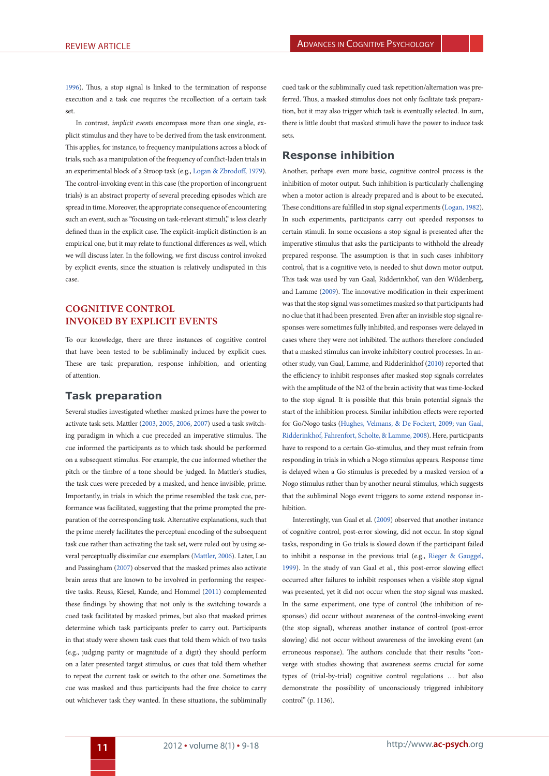[1996\)](#page-9-10). Thus, a stop signal is linked to the termination of response execution and a task cue requires the recollection of a certain task set.

In contrast, *implicit events* encompass more than one single, explicit stimulus and they have to be derived from the task environment. This applies, for instance, to frequency manipulations across a block of trials, such as a manipulation of the frequency of conflict-laden trials in an experimental block of a Stroop task (e.g., [Logan & Zbrodoff, 1979\)](#page-9-11). The control-invoking event in this case (the proportion of incongruent trials) is an abstract property of several preceding episodes which are spread in time. Moreover, the appropriate consequence of encountering such an event, such as "focusing on task-relevant stimuli," is less clearly defined than in the explicit case. The explicit-implicit distinction is an empirical one, but it may relate to functional differences as well, which we will discuss later. In the following, we first discuss control invoked by explicit events, since the situation is relatively undisputed in this case.

# **Cognitive control invoked by explicit events**

To our knowledge, there are three instances of cognitive control that have been tested to be subliminally induced by explicit cues. These are task preparation, response inhibition, and orienting of attention.

#### **Task preparation**

<span id="page-3-3"></span>Several studies investigated whether masked primes have the power to activate task sets. [Mattler \(2003,](#page-9-12) [2005,](#page-9-13) [2006](#page-9-14), [2007](#page-9-15)) used a task switching paradigm in which a cue preceded an imperative stimulus. The cue informed the participants as to which task should be performed on a subsequent stimulus. For example, the cue informed whether the pitch or the timbre of a tone should be judged. In Mattler's studies, the task cues were preceded by a masked, and hence invisible, prime. Importantly, in trials in which the prime resembled the task cue, performance was facilitated, suggesting that the prime prompted the preparation of the corresponding task. Alternative explanations, such that the prime merely facilitates the perceptual encoding of the subsequent task cue rather than activating the task set, were ruled out by using several perceptually dissimilar cue exemplars [\(Mattler, 2006](#page-9-14)). Later, [Lau](#page-9-16) [and Passingham \(2007](#page-9-16)) observed that the masked primes also activate brain areas that are known to be involved in performing the respective tasks. [Reuss, Kiesel, Kunde, and Hommel \(2011](#page-9-17)) complemented these findings by showing that not only is the switching towards a cued task facilitated by masked primes, but also that masked primes determine which task participants prefer to carry out. Participants in that study were shown task cues that told them which of two tasks (e.g., judging parity or magnitude of a digit) they should perform on a later presented target stimulus, or cues that told them whether to repeat the current task or switch to the other one. Sometimes the cue was masked and thus participants had the free choice to carry out whichever task they wanted. In these situations, the subliminally cued task or the subliminally cued task repetition/alternation was preferred. Thus, a masked stimulus does not only facilitate task preparation, but it may also trigger which task is eventually selected. In sum, there is little doubt that masked stimuli have the power to induce task sets.

# **Response inhibition**

<span id="page-3-8"></span><span id="page-3-2"></span>Another, perhaps even more basic, cognitive control process is the inhibition of motor output. Such inhibition is particularly challenging when a motor action is already prepared and is about to be executed. These conditions are fulfilled in stop signal experiments [\(Logan, 1982\)](#page-9-8). In such experiments, participants carry out speeded responses to certain stimuli. In some occasions a stop signal is presented after the imperative stimulus that asks the participants to withhold the already prepared response. The assumption is that in such cases inhibitory control, that is a cognitive veto, is needed to shut down motor output. This task was used by [van Gaal, Ridderinkhof, van den Wildenberg,](#page-10-8) [and Lamme \(2009](#page-10-8)). The innovative modification in their experiment was that the stop signal was sometimes masked so that participants had no clue that it had been presented. Even after an invisible stop signal responses were sometimes fully inhibited, and responses were delayed in cases where they were not inhibited. The authors therefore concluded that a masked stimulus can invoke inhibitory control processes. In another study, [van Gaal, Lamme, and Ridderinkhof \(2010\)](#page-10-9) reported that the efficiency to inhibit responses after masked stop signals correlates with the amplitude of the N2 of the brain activity that was time-locked to the stop signal. It is possible that this brain potential signals the start of the inhibition process. Similar inhibition effects were reported for Go/Nogo tasks ([Hughes, Velmans, & De Fockert, 2009;](#page-8-17) [van Gaal,](#page-10-10) [Ridderinkhof, Fahrenfort, Scholte, & Lamme, 2008](#page-10-10)). Here, participants have to respond to a certain Go-stimulus, and they must refrain from responding in trials in which a Nogo stimulus appears. Response time is delayed when a Go stimulus is preceded by a masked version of a Nogo stimulus rather than by another neural stimulus, which suggests that the subliminal Nogo event triggers to some extend response inhibition.

<span id="page-3-7"></span><span id="page-3-6"></span><span id="page-3-5"></span><span id="page-3-4"></span><span id="page-3-1"></span><span id="page-3-0"></span>Interestingly, [van Gaal et al. \(2009](#page-10-8)) observed that another instance of cognitive control, post-error slowing, did not occur. In stop signal tasks, responding in Go trials is slowed down if the participant failed to inhibit a response in the previous trial (e.g., [Rieger & Gauggel,](#page-9-18) [1999](#page-9-18)). In the study of van Gaal et al., this post-error slowing effect occurred after failures to inhibit responses when a visible stop signal was presented, yet it did not occur when the stop signal was masked. In the same experiment, one type of control (the inhibition of responses) did occur without awareness of the control-invoking event (the stop signal), whereas another instance of control (post-error slowing) did not occur without awareness of the invoking event (an erroneous response). The authors conclude that their results "converge with studies showing that awareness seems crucial for some types of (trial-by-trial) cognitive control regulations … but also demonstrate the possibility of unconsciously triggered inhibitory control" (p. 1136).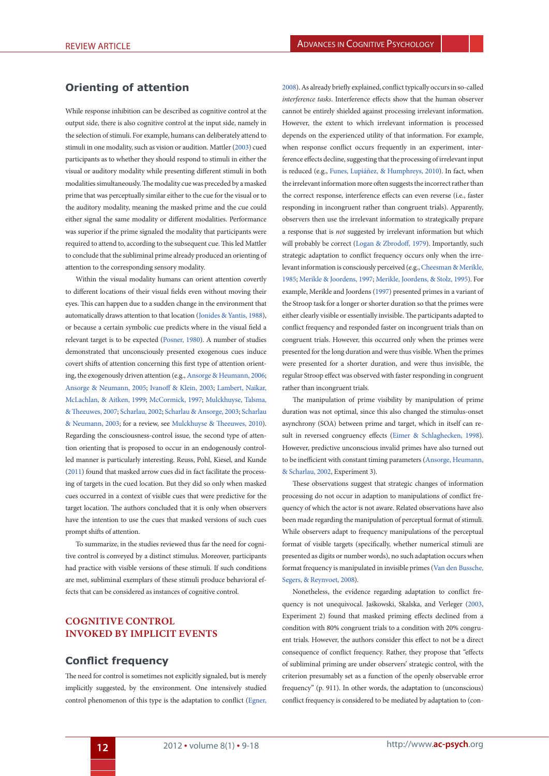#### **Orienting of attention**

While response inhibition can be described as cognitive control at the output side, there is also cognitive control at the input side, namely in the selection of stimuli. For example, humans can deliberately attend to stimuli in one modality, such as vision or audition. [Mattler \(2003\)](#page-9-12) cued participants as to whether they should respond to stimuli in either the visual or auditory modality while presenting different stimuli in both modalities simultaneously. The modality cue was preceded by a masked prime that was perceptually similar either to the cue for the visual or to the auditory modality, meaning the masked prime and the cue could either signal the same modality or different modalities. Performance was superior if the prime signaled the modality that participants were required to attend to, according to the subsequent cue. This led Mattler to conclude that the subliminal prime already produced an orienting of attention to the corresponding sensory modality.

Within the visual modality humans can orient attention covertly to different locations of their visual fields even without moving their eyes. This can happen due to a sudden change in the environment that automatically draws attention to that location ([Jonides & Yantis, 1988\)](#page-8-18), or because a certain symbolic cue predicts where in the visual field a relevant target is to be expected ([Posner, 1980\)](#page-9-19). A number of studies demonstrated that unconsciously presented exogenous cues induce covert shifts of attention concerning this first type of attention orienting, the exogenously driven attention (e.g., [Ansorge & Heumann, 2006](#page-7-8); [Ansorge & Neumann, 2005](#page-7-2); [Ivanoff & Klein, 2003](#page-8-19); [Lambert, Naikar,](#page-9-20) [McLachlan, & Aitken, 1999;](#page-9-20) [McCormick, 1997](#page-9-21); [Mulckhuyse, Talsma,](#page-9-22) [& Theeuwes, 2007](#page-9-22); [Scharlau, 2002;](#page-9-23) [Scharlau & Ansorge, 2003;](#page-9-24) [Scharlau](#page-9-25) [& Neumann, 2003](#page-9-25); for a review, see [Mulckhuyse & Theeuwes, 2010\)](#page-9-26). Regarding the consciousness-control issue, the second type of attention orienting that is proposed to occur in an endogenously controlled manner is particularly interesting. [Reuss, Pohl, Kiesel, and Kunde](#page-9-27) [\(2011\)](#page-9-27) found that masked arrow cues did in fact facilitate the processing of targets in the cued location. But they did so only when masked cues occurred in a context of visible cues that were predictive for the target location. The authors concluded that it is only when observers have the intention to use the cues that masked versions of such cues prompt shifts of attention.

To summarize, in the studies reviewed thus far the need for cognitive control is conveyed by a distinct stimulus. Moreover, participants had practice with visible versions of these stimuli. If such conditions are met, subliminal exemplars of these stimuli produce behavioral effects that can be considered as instances of cognitive control.

# **Cognitive control invoked by implicit events**

#### **Conflict frequency**

The need for control is sometimes not explicitly signaled, but is merely implicitly suggested, by the environment. One intensively studied control phenomenon of this type is the adaptation to conflict [\(Egner,](#page-8-20)

<span id="page-4-5"></span>[2008](#page-8-20)). As already briefly explained, conflict typically occurs in so-called *interference tasks*. Interference effects show that the human observer cannot be entirely shielded against processing irrelevant information. However, the extent to which irrelevant information is processed depends on the experienced utility of that information. For example, when response conflict occurs frequently in an experiment, interference effects decline, suggesting that the processing of irrelevant input is reduced (e.g., [Funes, Lupiáñez, & Humphreys, 2010](#page-8-21)). In fact, when the irrelevant information more often suggests the incorrect rather than the correct response, interference effects can even reverse (i.e., faster responding in incongruent rather than congruent trials). Apparently, observers then use the irrelevant information to strategically prepare a response that is *not* suggested by irrelevant information but which will probably be correct ([Logan & Zbrodoff, 1979](#page-9-11)). Importantly, such strategic adaptation to conflict frequency occurs only when the irrelevant information is consciously perceived (e.g., [Cheesman & Merikle,](#page-7-9) [1985](#page-7-9); [Merikle & Joordens, 1997](#page-9-28); [Merikle, Joordens, & Stolz, 1995](#page-9-29)). For example, [Merikle and Joordens \(1997](#page-9-28)) presented primes in a variant of the Stroop task for a longer or shorter duration so that the primes were either clearly visible or essentially invisible. The participants adapted to conflict frequency and responded faster on incongruent trials than on congruent trials. However, this occurred only when the primes were presented for the long duration and were thus visible. When the primes were presented for a shorter duration, and were thus invisible, the regular Stroop effect was observed with faster responding in congruent rather than incongruent trials.

<span id="page-4-19"></span><span id="page-4-18"></span><span id="page-4-17"></span><span id="page-4-15"></span><span id="page-4-14"></span><span id="page-4-13"></span><span id="page-4-12"></span><span id="page-4-11"></span><span id="page-4-10"></span><span id="page-4-9"></span><span id="page-4-8"></span><span id="page-4-6"></span><span id="page-4-4"></span><span id="page-4-2"></span><span id="page-4-0"></span>The manipulation of prime visibility by manipulation of prime duration was not optimal, since this also changed the stimulus-onset asynchrony (SOA) between prime and target, which in itself can result in reversed congruency effects ([Eimer & Schlaghecken, 1998\)](#page-8-22). However, predictive unconscious invalid primes have also turned out to be inefficient with constant timing parameters [\(Ansorge, Heumann,](#page-7-10) [& Scharlau, 2002,](#page-7-10) Experiment 3).

<span id="page-4-16"></span><span id="page-4-1"></span>These observations suggest that strategic changes of information processing do not occur in adaption to manipulations of conflict frequency of which the actor is not aware. Related observations have also been made regarding the manipulation of perceptual format of stimuli. While observers adapt to frequency manipulations of the perceptual format of visible targets (specifically, whether numerical stimuli are presented as digits or number words), no such adaptation occurs when format frequency is manipulated in invisible primes [\(Van den Bussche,](#page-10-11) [Segers, & Reynvoet, 2008\)](#page-10-11).

<span id="page-4-20"></span><span id="page-4-7"></span><span id="page-4-3"></span>Nonetheless, the evidence regarding adaptation to conflict frequency is not unequivocal. [Jaśkowski, Skalska, and Verleger \(2003,](#page-8-23) Experiment 2) found that masked priming effects declined from a condition with 80% congruent trials to a condition with 20% congruent trials. However, the authors consider this effect to not be a direct consequence of conflict frequency. Rather, they propose that "effects of subliminal priming are under observers' strategic control, with the criterion presumably set as a function of the openly observable error frequency" (p. 911). In other words, the adaptation to (unconscious) conflict frequency is considered to be mediated by adaptation to (con-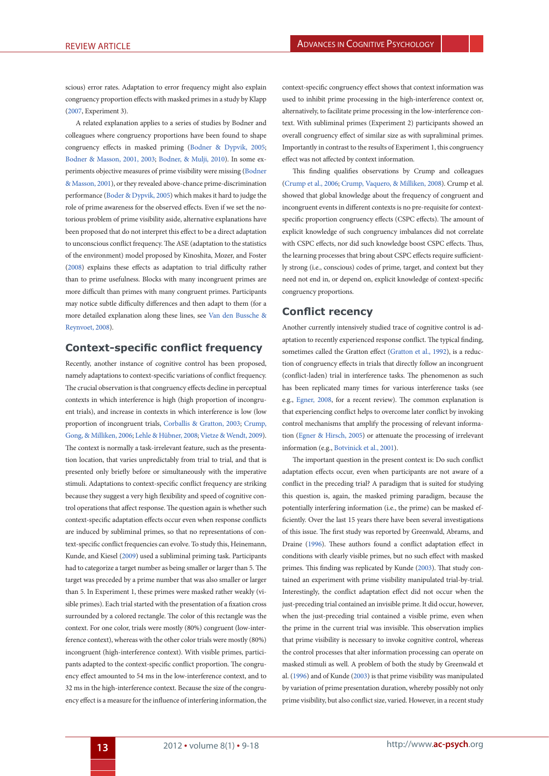scious) error rates. Adaptation to error frequency might also explain congruency proportion effects with masked primes in a study by [Klapp](#page-8-24) [\(2007,](#page-8-24) Experiment 3).

<span id="page-5-1"></span>A related explanation applies to a series of studies by Bodner and colleagues where congruency proportions have been found to shape congruency effects in masked priming [\(Bodner & Dypvik, 2005](#page-7-11); [Bodner & Masson, 2001,](#page-7-12) [2003;](#page-7-13) [Bodner, & Mulji, 2010\)](#page-7-14). In some experiments objective measures of prime visibility were missing ([Bodner](#page-7-12) [& Masson, 2001](#page-7-12)), or they revealed above-chance prime-discrimination performance [\(Boder & Dypvik, 2005\)](#page-7-11) which makes it hard to judge the role of prime awareness for the observed effects. Even if we set the notorious problem of prime visibility aside, alternative explanations have been proposed that do not interpret this effect to be a direct adaptation to unconscious conflict frequency. The ASE (adaptation to the statistics of the environment) model proposed by Kinoshita, Mozer, and Foster ([2008\)](#page-8-25) explains these effects as adaptation to trial difficulty rather than to prime usefulness. Blocks with many incongruent primes are more difficult than primes with many congruent primes. Participants may notice subtle difficulty differences and then adapt to them (for a more detailed explanation along these lines, see [Van den Bussche &](#page-10-12) [Reynvoet, 2008\)](#page-10-12).

# **Context-specific conflict frequency**

Recently, another instance of cognitive control has been proposed, namely adaptations to context-specific variations of conflict frequency. The crucial observation is that congruency effects decline in perceptual contexts in which interference is high (high proportion of incongruent trials), and increase in contexts in which interference is low (low proportion of incongruent trials, [Corballis & Gratton, 2003](#page-7-15); [Crump,](#page-7-16) [Gong, & Milliken, 2006](#page-7-16); [Lehle & Hübner, 2008](#page-9-30); [Vietze & Wendt, 2009\)](#page-10-13). The context is normally a task-irrelevant feature, such as the presentation location, that varies unpredictably from trial to trial, and that is presented only briefly before or simultaneously with the imperative stimuli. Adaptations to context-specific conflict frequency are striking because they suggest a very high flexibility and speed of cognitive control operations that affect response. The question again is whether such context-specific adaptation effects occur even when response conflicts are induced by subliminal primes, so that no representations of context-specific conflict frequencies can evolve. To study this, [Heinemann,](#page-8-26) [Kunde, and Kiesel \(2009](#page-8-26)) used a subliminal priming task. Participants had to categorize a target number as being smaller or larger than 5. The target was preceded by a prime number that was also smaller or larger than 5. In Experiment 1, these primes were masked rather weakly (visible primes). Each trial started with the presentation of a fixation cross surrounded by a colored rectangle. The color of this rectangle was the context. For one color, trials were mostly (80%) congruent (low-interference context), whereas with the other color trials were mostly (80%) incongruent (high-interference context). With visible primes, participants adapted to the context-specific conflict proportion. The congruency effect amounted to 54 ms in the low-interference context, and to 32 ms in the high-interference context. Because the size of the congruency effect is a measure for the influence of interfering information, the

<span id="page-5-10"></span>context-specific congruency effect shows that context information was used to inhibit prime processing in the high-interference context or, alternatively, to facilitate prime processing in the low-interference context. With subliminal primes (Experiment 2) participants showed an overall congruency effect of similar size as with supraliminal primes. Importantly in contrast to the results of Experiment 1, this congruency effect was not affected by context information.

<span id="page-5-5"></span><span id="page-5-2"></span><span id="page-5-0"></span>This finding qualifies observations by Crump and colleagues ([Crump et al., 2006;](#page-7-16) [Crump, Vaquero, & Milliken, 2008\)](#page-7-17). Crump et al. showed that global knowledge about the frequency of congruent and incongruent events in different contexts is no pre-requisite for contextspecific proportion congruency effects (CSPC effects). The amount of explicit knowledge of such congruency imbalances did not correlate with CSPC effects, nor did such knowledge boost CSPC effects. Thus, the learning processes that bring about CSPC effects require sufficiently strong (i.e., conscious) codes of prime, target, and context but they need not end in, or depend on, explicit knowledge of context-specific congruency proportions.

#### <span id="page-5-12"></span><span id="page-5-9"></span>**Conflict recency**

Another currently intensively studied trace of cognitive control is adaptation to recently experienced response conflict. The typical finding, sometimes called the Gratton effect [\(Gratton et al., 1992](#page-8-12)), is a reduction of congruency effects in trials that directly follow an incongruent (conflict-laden) trial in interference tasks. The phenomenon as such has been replicated many times for various interference tasks (see e.g., [Egner, 2008](#page-8-20), for a recent review). The common explanation is that experiencing conflict helps to overcome later conflict by invoking control mechanisms that amplify the processing of relevant information ([Egner & Hirsch, 2005](#page-8-27)) or attenuate the processing of irrelevant information (e.g., [Botvinick et al., 2001](#page-7-7)).

<span id="page-5-13"></span><span id="page-5-11"></span><span id="page-5-8"></span><span id="page-5-7"></span><span id="page-5-6"></span><span id="page-5-4"></span><span id="page-5-3"></span>The important question in the present context is: Do such conflict adaptation effects occur, even when participants are not aware of a conflict in the preceding trial? A paradigm that is suited for studying this question is, again, the masked priming paradigm, because the potentially interfering information (i.e., the prime) can be masked efficiently. Over the last 15 years there have been several investigations of this issue. The first study was reported by Greenwald, Abrams, and Draine [\(1996\)](#page-8-28). These authors found a conflict adaptation effect in conditions with clearly visible primes, but no such effect with masked primes. This finding was replicated by [Kunde \(2003](#page-8-14)). That study contained an experiment with prime visibility manipulated trial-by-trial. Interestingly, the conflict adaptation effect did not occur when the just-preceding trial contained an invisible prime. It did occur, however, when the just-preceding trial contained a visible prime, even when the prime in the current trial was invisible. This observation implies that prime visibility is necessary to invoke cognitive control, whereas the control processes that alter information processing can operate on masked stimuli as well. A problem of both the study by [Greenwald et](#page-8-28) [al. \(1996\)](#page-8-28) and of [Kunde \(2003](#page-8-14)) is that prime visibility was manipulated by variation of prime presentation duration, whereby possibly not only prime visibility, but also conflict size, varied. However, in a recent study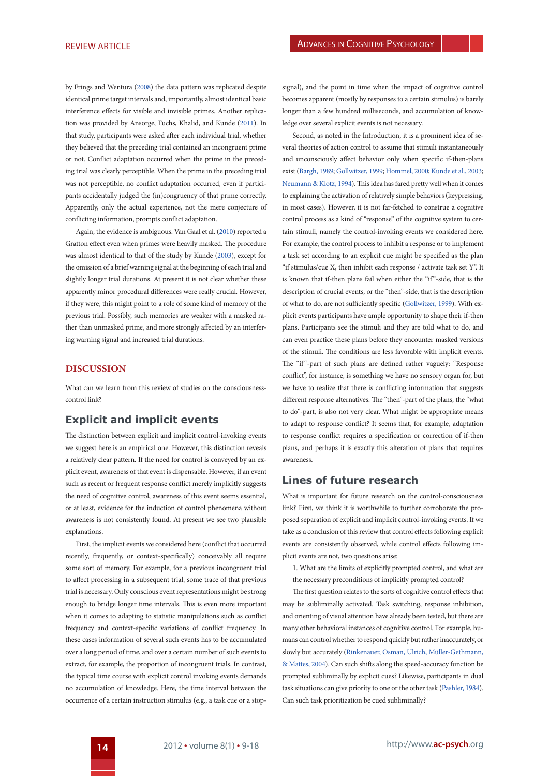<span id="page-6-2"></span>by [Frings and Wentura \(2008](#page-8-29)) the data pattern was replicated despite identical prime target intervals and, importantly, almost identical basic interference effects for visible and invisible primes. Another replication was provided by [Ansorge, Fuchs, Khalid, and Kunde \(2011](#page-7-18)). In that study, participants were asked after each individual trial, whether they believed that the preceding trial contained an incongruent prime or not. Conflict adaptation occurred when the prime in the preceding trial was clearly perceptible. When the prime in the preceding trial was not perceptible, no conflict adaptation occurred, even if participants accidentally judged the (in)congruency of that prime correctly. Apparently, only the actual experience, not the mere conjecture of conflicting information, prompts conflict adaptation.

Again, the evidence is ambiguous. Van Gaal et al. ([2010\)](#page-10-9) reported a Gratton effect even when primes were heavily masked. The procedure was almost identical to that of the study by [Kunde \(2003](#page-8-14)), except for the omission of a brief warning signal at the beginning of each trial and slightly longer trial durations. At present it is not clear whether these apparently minor procedural differences were really crucial. However, if they were, this might point to a role of some kind of memory of the previous trial. Possibly, such memories are weaker with a masked rather than unmasked prime, and more strongly affected by an interfering warning signal and increased trial durations.

# **Discussion**

What can we learn from this review of studies on the consciousnesscontrol link?

# **Explicit and implicit events**

The distinction between explicit and implicit control-invoking events we suggest here is an empirical one. However, this distinction reveals a relatively clear pattern. If the need for control is conveyed by an explicit event, awareness of that event is dispensable. However, if an event such as recent or frequent response conflict merely implicitly suggests the need of cognitive control, awareness of this event seems essential, or at least, evidence for the induction of control phenomena without awareness is not consistently found. At present we see two plausible explanations.

First, the implicit events we considered here (conflict that occurred recently, frequently, or context-specifically) conceivably all require some sort of memory. For example, for a previous incongruent trial to affect processing in a subsequent trial, some trace of that previous trial is necessary. Only conscious event representations might be strong enough to bridge longer time intervals. This is even more important when it comes to adapting to statistic manipulations such as conflict frequency and context-specific variations of conflict frequency. In these cases information of several such events has to be accumulated over a long period of time, and over a certain number of such events to extract, for example, the proportion of incongruent trials. In contrast, the typical time course with explicit control invoking events demands no accumulation of knowledge. Here, the time interval between the occurrence of a certain instruction stimulus (e.g., a task cue or a stop-

signal), and the point in time when the impact of cognitive control becomes apparent (mostly by responses to a certain stimulus) is barely longer than a few hundred milliseconds, and accumulation of knowledge over several explicit events is not necessary.

<span id="page-6-4"></span><span id="page-6-3"></span><span id="page-6-1"></span><span id="page-6-0"></span>Second, as noted in the Introduction, it is a prominent idea of several theories of action control to assume that stimuli instantaneously and unconsciously affect behavior only when specific if-then-plans exist ([Bargh, 1989;](#page-7-19) [Gollwitzer, 1999](#page-8-30); [Hommel, 2000;](#page-8-31) [Kunde et al., 2003;](#page-8-5) [Neumann & Klotz, 1994](#page-9-1)). This idea has fared pretty well when it comes to explaining the activation of relatively simple behaviors (keypressing, in most cases). However, it is not far-fetched to construe a cognitive control process as a kind of "response" of the cognitive system to certain stimuli, namely the control-invoking events we considered here. For example, the control process to inhibit a response or to implement a task set according to an explicit cue might be specified as the plan "if stimulus/cue X, then inhibit each response / activate task set Y". It is known that if-then plans fail when either the "if"-side, that is the description of crucial events, or the "then"-side, that is the description of what to do, are not sufficiently specific [\(Gollwitzer, 1999](#page-8-30)). With explicit events participants have ample opportunity to shape their if-then plans. Participants see the stimuli and they are told what to do, and can even practice these plans before they encounter masked versions of the stimuli. The conditions are less favorable with implicit events. The "if"-part of such plans are defined rather vaguely: "Response conflict", for instance, is something we have no sensory organ for, but we have to realize that there is conflicting information that suggests different response alternatives. The "then"-part of the plans, the "what to do"-part, is also not very clear. What might be appropriate means to adapt to response conflict? It seems that, for example, adaptation to response conflict requires a specification or correction of if-then plans, and perhaps it is exactly this alteration of plans that requires awareness.

# **Lines of future research**

What is important for future research on the control-consciousness link? First, we think it is worthwhile to further corroborate the proposed separation of explicit and implicit control-invoking events. If we take as a conclusion of this review that control effects following explicit events are consistently observed, while control effects following implicit events are not, two questions arise:

- 1. What are the limits of explicitly prompted control, and what are
- <span id="page-6-6"></span><span id="page-6-5"></span>the necessary preconditions of implicitly prompted control?

The first question relates to the sorts of cognitive control effects that may be subliminally activated. Task switching, response inhibition, and orienting of visual attention have already been tested, but there are many other behavioral instances of cognitive control. For example, humans can control whether to respond quickly but rather inaccurately, or slowly but accurately ([Rinkenauer, Osman, Ulrich, Müller-Gethmann,](#page-9-31) [& Mattes, 2004\)](#page-9-31). Can such shifts along the speed-accuracy function be prompted subliminally by explicit cues? Likewise, participants in dual task situations can give priority to one or the other task [\(Pashler, 1984\)](#page-9-32). Can such task prioritization be cued subliminally?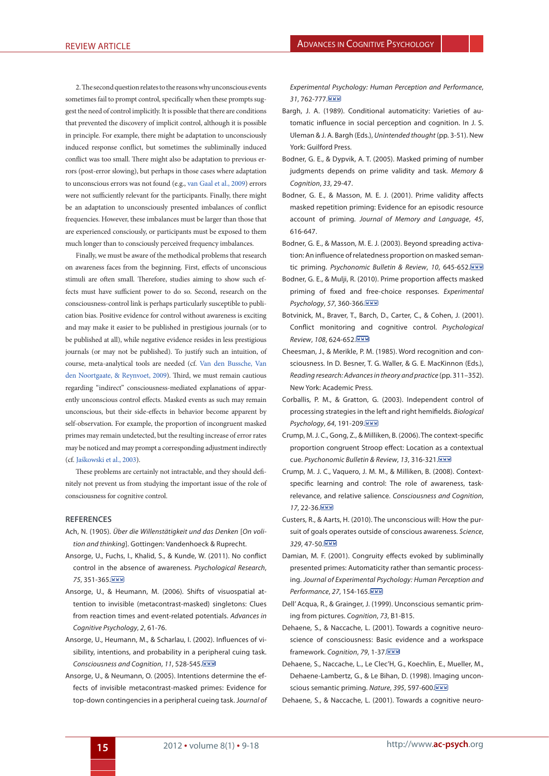2. The second question relates to the reasons why unconscious events sometimes fail to prompt control, specifically when these prompts suggest the need of control implicitly. It is possible that there are conditions that prevented the discovery of implicit control, although it is possible in principle. For example, there might be adaptation to unconsciously induced response conflict, but sometimes the subliminally induced conflict was too small. There might also be adaptation to previous errors (post-error slowing), but perhaps in those cases where adaptation to unconscious errors was not found (e.g., [van Gaal et al., 2009\)](#page-10-8) errors were not sufficiently relevant for the participants. Finally, there might be an adaptation to unconsciously presented imbalances of conflict frequencies. However, these imbalances must be larger than those that are experienced consciously, or participants must be exposed to them much longer than to consciously perceived frequency imbalances.

Finally, we must be aware of the methodical problems that research on awareness faces from the beginning. First, effects of unconscious stimuli are often small. Therefore, studies aiming to show such effects must have sufficient power to do so. Second, research on the consciousness-control link is perhaps particularly susceptible to publication bias. Positive evidence for control without awareness is exciting and may make it easier to be published in prestigious journals (or to be published at all), while negative evidence resides in less prestigious journals (or may not be published). To justify such an intuition, of course, meta-analytical tools are needed (cf. [Van den Bussche, Van](#page-10-14) [den Noortgaate, & Reynvoet, 2009\)](#page-10-14). Third, we must remain cautious regarding "indirect" consciousness-mediated explanations of apparently unconscious control effects. Masked events as such may remain unconscious, but their side-effects in behavior become apparent by self-observation. For example, the proportion of incongruent masked primes may remain undetected, but the resulting increase of error rates may be noticed and may prompt a corresponding adjustment indirectly (cf. [Jaśkowski et al., 2003\)](#page-8-23).

These problems are certainly not intractable, and they should definitely not prevent us from studying the important issue of the role of consciousness for cognitive control.

#### **References**

- <span id="page-7-6"></span>A[ch, N. \(1905\).](#page-2-0) *Über die Willenstätigkeit und das Denken* [*On volition and thinking*]. Gottingen: Vandenhoeck & Ruprecht.
- <span id="page-7-18"></span>A[nsorge, U., Fuchs, I., Khalid, S., & Kunde, W. \(2011\)](#page-6-0). No conflict control in the absence of awareness. *Psychological Research*, *75*, 351-365.
- <span id="page-7-8"></span>A[nsorge, U., & Heumann, M. \(2006\).](#page-4-0) Shifts of visuospatial attention to invisible (metacontrast-masked) singletons: Clues from reaction times and event-related potentials. *Advances in Cognitive Psychology*, *2*, 61-76.
- <span id="page-7-10"></span>A[nsorge, U., Heumann, M., & Scharlau, I. \(2002\).](#page-4-1) Influences of visibility, intentions, and probability in a peripheral cuing task. *Consciousness and Cognition*, *11*, 528-545.
- <span id="page-7-2"></span>A[nsorge, U., & Neumann, O. \(2005\).](#page-1-0) Intentions determine the effects of invisible metacontrast-masked primes: Evidence for top-down contingencies in a peripheral cueing task. J*ournal of*

*Experimental Psychology: Human Perception and Performance*, *31*, 762-777.

- <span id="page-7-19"></span>B[argh, J. A. \(1989\)](#page-6-1). Conditional automaticity: Varieties of automatic influence in social perception and cognition. In J. S. Uleman & J. A. Bargh (Eds.), *Unintended thought* (pp. 3-51). New York: Guilford Press.
- <span id="page-7-11"></span>B[odner, G. E., & Dypvik, A. T. \(2005\)](#page-5-0). Masked priming of number judgments depends on prime validity and task. *Memory & Cognition*, *33*, 29-47.
- <span id="page-7-12"></span>B[odner, G. E., & Masson, M. E. J. \(2001\).](#page-5-1) Prime validity affects masked repetition priming: Evidence for an episodic resource account of priming. *Journal of Memory and Language*, *45*, 616-647.
- <span id="page-7-13"></span>B[odner, G. E., & Masson, M. E. J. \(2003\)](#page-5-1). Beyond spreading activation: An influence of relatedness proportion on masked semantic priming. *Psychonomic Bulletin & Review*, *10*, 645-652.
- <span id="page-7-14"></span>B[odner, G. E., & Mulji, R. \(2010\)](#page-5-2). Prime proportion affects masked priming of fixed and free-choice responses. *Experimental Psychology*, *57*, 360-366.
- <span id="page-7-7"></span>B[otvinick, M., Braver, T., Barch, D., Carter, C., & Cohen, J. \(2001\).](#page-2-1) Conflict monitoring and cognitive control. *Psychological Review*, *108*, 624-652.
- <span id="page-7-20"></span><span id="page-7-9"></span>C[heesman, J., & Merikle, P. M. \(1985\).](#page-4-2) Word recognition and consciousness. In D. Besner, T. G. Waller, & G. E. MacKinnon (Eds.), *Reading research: Advances in theory and practice* (pp. 311–352). New York: Academic Press.
- <span id="page-7-15"></span>C[orballis, P. M., & Gratton, G. \(2003\).](#page-5-3) Independent control of processing strategies in the left and right hemifields. *Biological Psychology*, *64*, 191-209.
- <span id="page-7-16"></span>C[rump, M. J. C., Gong, Z., & Milliken, B. \(2006\).](#page-5-4) The context-specific proportion congruent Stroop effect: Location as a contextual cue. *Psychonomic Bulletin & Review*, *13*, 316-321.
- <span id="page-7-17"></span>C[rump, M. J. C., Vaquero, J. M. M., & Milliken, B. \(2008\)](#page-5-5). Contextspecific learning and control: The role of awareness, taskrelevance, and relative salience. *Consciousness and Cognition*, *17*, 22-36.
- <span id="page-7-5"></span>C[usters, R., & Aarts, H. \(2010\)](#page-2-2). The unconscious will: How the pursuit of goals operates outside of conscious awareness. *Science*, *329*, 47-50.
- <span id="page-7-3"></span>D[amian, M. F. \(2001\).](#page-1-1) Congruity effects evoked by subliminally presented primes: Automaticity rather than semantic processing. *Journal of Experimental Psychology: Human Perception and Performance*, *27*, 154-165.
- <span id="page-7-1"></span>D[ell' Acqua, R., & Grainger, J. \(1999\)](#page-1-2). Unconscious semantic priming from pictures. *Cognition*, *73*, B1-B15.
- <span id="page-7-4"></span>D[ehaene, S., & Naccache, L. \(2001\).](#page-1-3) Towards a cognitive neuroscience of consciousness: Basic evidence and a workspace framework. *Cognition*, *79*, 1-37.
- <span id="page-7-0"></span>D[ehaene, S., Naccache, L., Le Clec'H, G., Koechlin, E., Mueller, M.,](#page-1-4) [Dehaene-Lambertz, G., & Le Bihan, D. \(1998\)](#page-1-4). Imaging unconscious semantic priming. *Nature*, *395*, 597-600.

D[ehaene, S., & Naccache, L. \(2001\).](#page-1-3) Towards a cognitive neuro-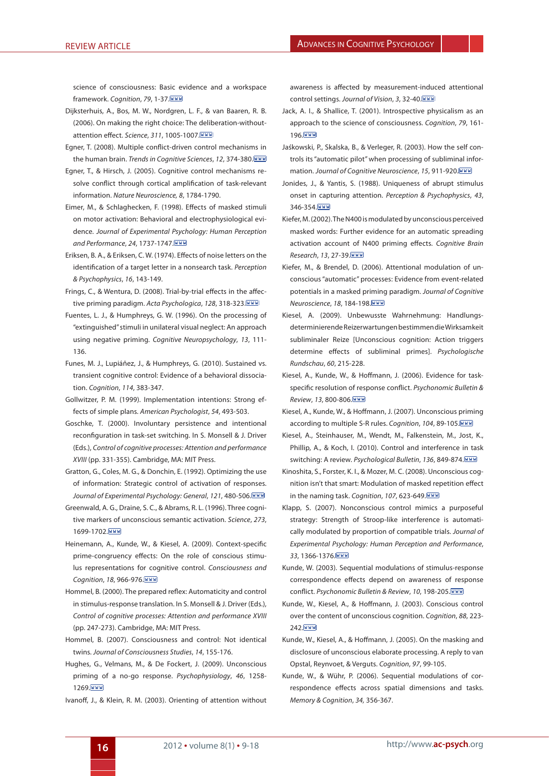science of consciousness: Basic evidence and a workspace framework. *Cognition*, *79*, 1-37.

- <span id="page-8-7"></span>[Dijksterhuis, A., Bos, M. W., Nordgren, L. F., & van Baaren, R. B.](#page-2-3) [\(2006\).](#page-2-3) On making the right choice: The deliberation-withoutattention effect. *Science*, *311*, 1005-1007.
- <span id="page-8-20"></span>E[gner, T. \(2008\)](#page-4-3). Multiple conflict-driven control mechanisms in the human brain. *Trends in Cognitive Sciences*, *12*, 374-380.
- <span id="page-8-27"></span>E[gner, T., & Hirsch, J. \(2005\)](#page-5-6). Cognitive control mechanisms resolve conflict through cortical amplification of task-relevant information. *Nature Neuroscience, 8*, 1784-1790.
- <span id="page-8-22"></span>E[imer, M., & Schlaghecken, F. \(1998\).](#page-4-4) Effects of masked stimuli on motor activation: Behavioral and electrophysiological evidence. *Journal of Experimental Psychology: Human Perception and Performance*, *24*, 1737-1747.
- <span id="page-8-11"></span>E[riksen, B. A., & Eriksen, C. W. \(1974\).](#page-2-4) Effects of noise letters on the identification of a target letter in a nonsearch task. *Perception & Psychophysics*, *16*, 143-149.
- <span id="page-8-29"></span>F[rings, C., & Wentura, D. \(2008\)](#page-6-2). Trial-by-trial effects in the affective priming paradigm. *Acta Psychologica*, *128*, 318-323.
- <span id="page-8-0"></span>F[uentes, L. J., & Humphreys, G. W. \(1996\).](#page-1-5) On the processing of "extinguished" stimuli in unilateral visual neglect: An approach using negative priming. *Cognitive Neuropsychology*, *13*, 111- 136.
- <span id="page-8-21"></span>F[unes, M. J., Lupiáñez, J., & Humphreys, G. \(2010\)](#page-4-5). Sustained vs. transient cognitive control: Evidence of a behavioral dissociation. *Cognition*, *114*, 383-347.
- <span id="page-8-30"></span>[Gollwitzer, P. M. \(1999\)](#page-6-3). Implementation intentions: Strong effects of simple plans. *American Psychologist*, *54*, 493-503.
- <span id="page-8-16"></span>[Goschke, T. \(2000\)](#page-2-5). Involuntary persistence and intentional reconfiguration in task-set switching. In S. Monsell & J. Driver (Eds.), *Control of cognitive processes: Attention and performance XVIII* (pp. 331-355). Cambridge, MA: MIT Press.
- <span id="page-8-12"></span>[Gratton, G., Coles, M. G., & Donchin, E. \(1992\)](#page-2-6). Optimizing the use of information: Strategic control of activation of responses. *Journal of Experimental Psychology: General*, *121*, 480-506.
- <span id="page-8-28"></span>[Greenwald, A. G., Draine, S. C., & Abrams, R. L. \(1996\).](#page-5-7) Three cognitive markers of unconscious semantic activation. *Science*, *273*, 1699-1702. WWW
- <span id="page-8-26"></span>[Heinemann, A., Kunde, W., & Kiesel, A. \(2009\).](#page-5-8) Context-specific prime-congruency effects: On the role of conscious stimulus representations for cognitive control. *Consciousness and Cognition*, *18*, 966-976.
- <span id="page-8-31"></span>[Hommel, B. \(2000\)](#page-6-4). The prepared reflex: Automaticity and control in stimulus-response translation. In S. Monsell & J. Driver (Eds.), *Control of cognitive processes: Attention and performance XVIII*  (pp. 247-273). Cambridge, MA: MIT Press.
- <span id="page-8-9"></span>[Hommel, B. \(2007\)](#page-2-7). Consciousness and control: Not identical twins. *Journal of Consciousness Studies*, *14*, 155-176.
- <span id="page-8-17"></span>[Hughes, G., Velmans, M., & De Fockert, J. \(2009\).](#page-3-0) Unconscious priming of a no-go response. *Psychophysiology*, *46*, 1258- 1269. WWW
- <span id="page-8-19"></span>I[vanoff, J., & Klein, R. M. \(2003\)](#page-4-6). Orienting of attention without

awareness is affected by measurement-induced attentional control settings. *Journal of Vision*, *3*, 32-40.

- <span id="page-8-8"></span>[Jack, A. I., & Shallice, T. \(2001\)](#page-2-8). Introspective physicalism as an approach to the science of consciousness. *Cognition*, *79*, 161- 196. WWW
- <span id="page-8-23"></span>[Jaśkowski, P., Skalska, B., & Verleger, R. \(2003\)](#page-4-7). How the self controls its "automatic pilot" when processing of subliminal information. *Journal of Cognitive Neuroscience*, *15*, 911-920.
- <span id="page-8-18"></span>[Jonides, J., & Yantis, S. \(1988\)](#page-4-8). Uniqueness of abrupt stimulus onset in capturing attention. *Perception & Psychophysics*, *43*, 346-354. WWW
- <span id="page-8-1"></span>K[iefer, M. \(2002\).](#page-1-6) The N400 is modulated by unconscious perceived masked words: Further evidence for an automatic spreading activation account of N400 priming effects. *Cognitive Brain Research*, *13*, 27-39.
- <span id="page-8-2"></span>K[iefer, M., & Brendel, D. \(2006\).](#page-1-7) Attentional modulation of unconscious "automatic" processes: Evidence from event-related potentials in a masked priming paradigm. *Journal of Cognitive Neuroscience*, *18*, 184-198.
- <span id="page-8-3"></span>[Kiesel, A. \(2009\).](#page-1-8) Unbewusste Wahrnehmung: Handlungsdeterminierende Reizerwartungen bestimmen die Wirksamkeit subliminaler Reize [Unconscious cognition: Action triggers determine effects of subliminal primes]. *Psychologische Rundschau*, *60*, 215-228.
- <span id="page-8-13"></span>K[iesel, A., Kunde, W., & Hoffmann, J. \(2006\)](#page-2-9). Evidence for taskspecific resolution of response conflict. *Psychonomic Bulletin & Review*, *13*, 800-806.
- <span id="page-8-4"></span>K[iesel, A., Kunde, W., & Hoffmann, J. \(2007\).](#page-1-9) Unconscious priming according to multiple S-R rules. *Cognition*, *104*, 89-105.
- <span id="page-8-10"></span>K[iesel, A., Steinhauser, M., Wendt, M., Falkenstein, M., Jost, K.,](#page-2-10) [Phillip, A., & Koch, I. \(2010\).](#page-2-10) Control and interference in task switching: A review. *Psychological Bulletin*, *136*, 849-874.
- <span id="page-8-25"></span>K[inoshita, S., Forster, K. I., & Mozer, M. C. \(2008\)](#page-5-9). Unconscious cognition isn't that smart: Modulation of masked repetition effect in the naming task. *Cognition*, *107*, 623-649.
- <span id="page-8-24"></span>K[lapp, S. \(2007\)](#page-5-10). Nonconscious control mimics a purposeful strategy: Strength of Stroop-like interference is automatically modulated by proportion of compatible trials. *Journal of Experimental Psychology: Human Perception and Performance*, *33*, 1366-1376.
- <span id="page-8-14"></span>K[unde, W. \(2003\)](#page-2-11). Sequential modulations of stimulus-response correspondence effects depend on awareness of response conflict. *Psychonomic Bulletin & Review*, *10*, 198-205.
- <span id="page-8-5"></span>K[unde, W., Kiesel, A., & Hoffmann, J. \(2003\).](#page-1-10) Conscious control over the content of unconscious cognition. *Cognition*, *88*, 223- 242. WWW
- <span id="page-8-6"></span>K[unde, W., Kiesel, A., & Hoffmann, J. \(2005\).](#page-1-10) On the masking and disclosure of unconscious elaborate processing. A reply to van Opstal, Reynvoet, & Verguts. *Cognition*, *97*, 99-105.
- <span id="page-8-15"></span>K[unde, W., & Wühr, P. \(2006\)](#page-2-12). Sequential modulations of correspondence effects across spatial dimensions and tasks. *Memory & Cognition*, *34,* 356-367.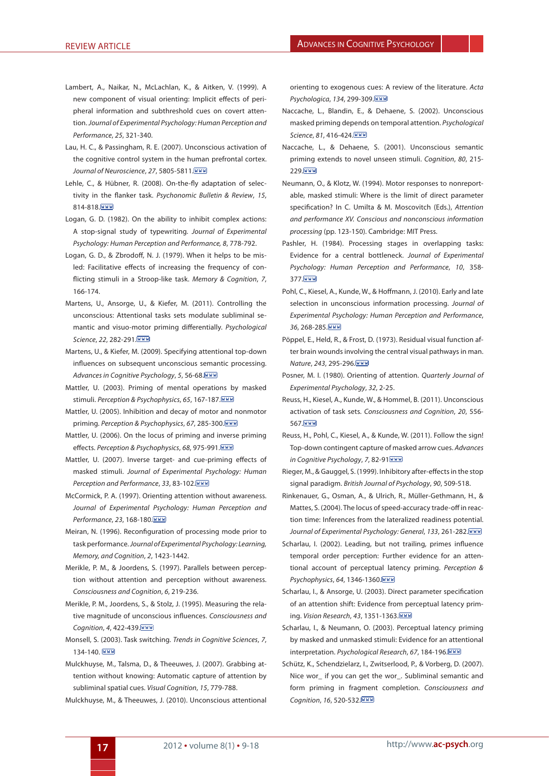- <span id="page-9-20"></span>L[ambert, A., Naikar, N., McLachlan, K., & Aitken, V. \(1999\).](#page-4-9) A new component of visual orienting: Implicit effects of peripheral information and subthreshold cues on covert attention. *Journal of Experimental Psychology: Human Perception and Performance*, *25*, 321-340.
- <span id="page-9-16"></span>L[au, H. C., & Passingham, R. E. \(2007\).](#page-3-1) Unconscious activation of the cognitive control system in the human prefrontal cortex. *Journal of Neuroscience*, *27*, 5805-5811.
- <span id="page-9-30"></span>L[ehle, C., & Hübner, R. \(2008\)](#page-5-11). On-the-fly adaptation of selectivity in the flanker task. *Psychonomic Bulletin & Review*, *15*, 814-818. WWW
- <span id="page-9-8"></span>L[ogan, G. D. \(1982\)](#page-2-13). On the ability to inhibit complex actions: A stop-signal study of typewriting. *Journal of Experimental Psychology: Human Perception and Performance, 8*, 778-792.
- <span id="page-9-11"></span>L[ogan, G. D., & Zbrodoff, N. J. \(1979\)](#page-3-2). When it helps to be misled: Facilitative effects of increasing the frequency of conflicting stimuli in a Stroop-like task. *Memory & Cognition*, *7*, 166-174.
- <span id="page-9-2"></span>[Martens, U., Ansorge, U., & Kiefer, M. \(2011\)](#page-1-11). Controlling the unconscious: Attentional tasks sets modulate subliminal semantic and visuo-motor priming differentially. *Psychological Science*, *22*, 282-291.
- <span id="page-9-4"></span>[Martens, U., & Kiefer, M. \(2009\)](#page-1-12). Specifying attentional top-down influences on subsequent unconscious semantic processing. *Advances in Cognitive Psychology*, *5*, 56-68.
- <span id="page-9-12"></span>[Mattler, U. \(2003\)](#page-3-3). Priming of mental operations by masked stimuli. *Perception & Psychophysics*, *65*, 167-187.
- <span id="page-9-13"></span>[Mattler, U. \(2005\).](#page-3-3) Inhibition and decay of motor and nonmotor priming. *Perception & Psychophysics*, *67*, 285-300.
- <span id="page-9-14"></span>[Mattler, U. \(2006\)](#page-3-3). On the locus of priming and inverse priming effects. *Perception & Psychophysics*, *68*, 975-991.
- <span id="page-9-15"></span>[Mattler, U. \(2007\).](#page-3-3) Inverse target- and cue-priming effects of masked stimuli. *Journal of Experimental Psychology: Human Perception and Performance*, *33*, 83-102.
- <span id="page-9-21"></span>[McCormick, P. A. \(1997\).](#page-4-10) Orienting attention without awareness. *Journal of Experimental Psychology: Human Perception and Performance*, *23*, 168-180.
- <span id="page-9-10"></span>[Meiran, N. \(1996\).](#page-2-14) Reconfiguration of processing mode prior to task performance. *Journal of Experimental Psychology: Learning, Memory, and Cognition*, *2*, 1423-1442.
- <span id="page-9-28"></span>[Merikle, P. M., & Joordens, S. \(1997\).](#page-4-11) Parallels between perception without attention and perception without awareness. *Consciousness and Cognition*, *6*, 219-236.
- <span id="page-9-29"></span>[Merikle, P. M., Joordens, S., & Stolz, J. \(1995\).](#page-4-12) Measuring the relative magnitude of unconscious influences. *Consciousness and Cognition*, *4*, 422-439.
- <span id="page-9-7"></span>[Monsell, S. \(2003\).](#page-2-15) Task switching. *Trends in Cognitive Sciences*, *7*, 134-140. WWW
- <span id="page-9-22"></span>[Mulckhuyse, M., Talsma, D., & Theeuwes, J. \(2007\)](#page-4-13). Grabbing attention without knowing: Automatic capture of attention by subliminal spatial cues. *Visual Cognition*, *15*, 779-788.
- <span id="page-9-26"></span>[Mulckhuyse, M., & Theeuwes, J. \(2010\).](#page-4-14) Unconscious attentional

orienting to exogenous cues: A review of the literature. *Acta Psychologica*, *134*, 299-309.

- <span id="page-9-9"></span>[Naccache, L., Blandin, E., & Dehaene, S. \(2002\)](#page-2-16). Unconscious masked priming depends on temporal attention. *Psychological Science*, *81*, 416-424.
- <span id="page-9-6"></span>[Naccache, L., & Dehaene, S. \(2001\)](#page-1-13). Unconscious semantic priming extends to novel unseen stimuli. *Cognition*, *80*, 215- 229. WWW
- <span id="page-9-1"></span>[Neumann, O., & Klotz, W. \(1994\)](#page-1-14). Motor responses to nonreportable, masked stimuli: Where is the limit of direct parameter specification? In C. Umilta & M. Moscovitch (Eds.), *Attention and performance XV. Conscious and nonconscious information processing* (pp. 123-150). Cambridge: MIT Press.
- <span id="page-9-32"></span>[Pashler, H. \(1984\)](#page-6-5). Processing stages in overlapping tasks: Evidence for a central bottleneck. *Journal of Experimental Psychology: Human Perception and Performance*, *10*, 358- 377. WWW
- <span id="page-9-5"></span>[Pohl, C., Kiesel, A., Kunde, W., & Hoffmann, J. \(2010\).](#page-1-15) Early and late selection in unconscious information processing. *Journal of Experimental Psychology: Human Perception and Performance*, *36*, 268-285.
- <span id="page-9-0"></span>[Pöppel, E., Held, R., & Frost, D. \(1973\)](#page-1-16). Residual visual function after brain wounds involving the central visual pathways in man. *Nature*, *243*, 295-296.
- <span id="page-9-19"></span>[Posner, M. I. \(1980\)](#page-4-15). Orienting of attention. *Quarterly Journal of Experimental Psychology*, *32*, 2-25.
- <span id="page-9-17"></span>R[euss, H., Kiesel, A., Kunde, W., & Hommel, B. \(2011\).](#page-3-4) Unconscious activation of task sets. *Consciousness and Cognition*, *20*, 556- 567. WWW
- <span id="page-9-27"></span>R[euss, H., Pohl, C., Kiesel, A., & Kunde, W. \(2011\).](#page-4-16) Follow the sign! Top-down contingent capture of masked arrow cues. *Advances in Cognitive Psychology*, *7*, 82-91
- <span id="page-9-18"></span>R[ieger, M., & Gauggel, S. \(1999\).](#page-3-5) Inhibitory after-effects in the stop signal paradigm. *British Journal of Psychology*, *90*, 509-518.
- <span id="page-9-31"></span>R[inkenauer, G., Osman, A., & Ulrich, R., Müller-Gethmann, H., &](#page-6-6) [Mattes, S. \(2004\)](#page-6-6). The locus of speed-accuracy trade-off in reaction time: Inferences from the lateralized readiness potential. *Journal of Experimental Psychology: General*, *133*, 261-282.
- <span id="page-9-23"></span>[Scharlau, I. \(2002\)](#page-4-17). Leading, but not trailing, primes influence temporal order perception: Further evidence for an attentional account of perceptual latency priming. *Perception & Psychophysics*, *64*, 1346-1360.
- <span id="page-9-24"></span>[Scharlau, I., & Ansorge, U. \(2003\).](#page-4-18) Direct parameter specification of an attention shift: Evidence from perceptual latency priming. *Vision Research*, *43*, 1351-1363.
- <span id="page-9-25"></span>[Scharlau, I., & Neumann, O. \(2003\).](#page-4-19) Perceptual latency priming by masked and unmasked stimuli: Evidence for an attentional interpretation. *Psychological Research*, *67*, 184-196.
- <span id="page-9-3"></span>[Schütz, K., Schendzielarz, I., Zwitserlood, P., & Vorberg, D. \(2007\).](#page-1-17) Nice wor\_ if you can get the wor\_. Subliminal semantic and form priming in fragment completion. *Consciousness and Cognition*, *16*, 520-532.